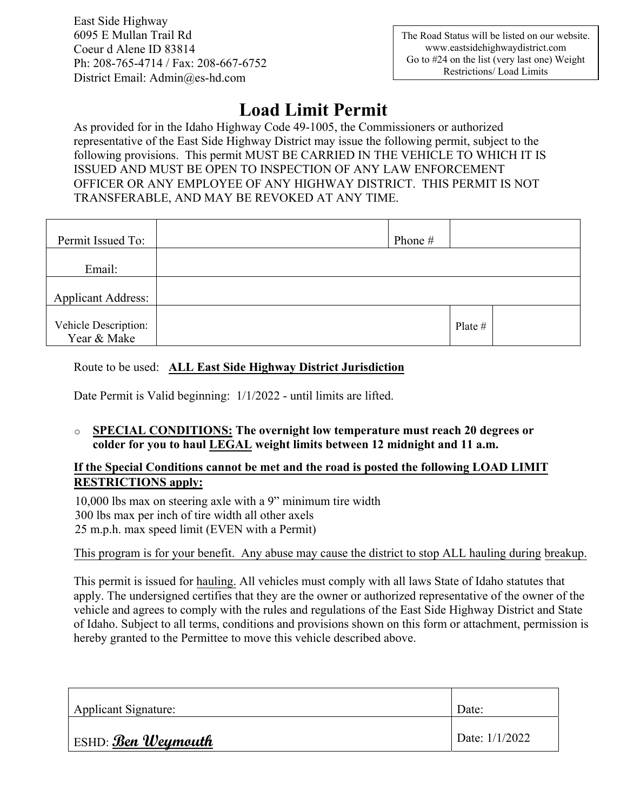East Side Highway 6095 E Mullan Trail Rd Coeur d Alene ID 83814 Ph: 208-765-4714 / Fax: 208-667-6752 District Email: Admin@es-hd.com

## **Load Limit Permit**

As provided for in the Idaho Highway Code 49-1005, the Commissioners or authorized representative of the East Side Highway District may issue the following permit, subject to the following provisions. This permit MUST BE CARRIED IN THE VEHICLE TO WHICH IT IS ISSUED AND MUST BE OPEN TO INSPECTION OF ANY LAW ENFORCEMENT OFFICER OR ANY EMPLOYEE OF ANY HIGHWAY DISTRICT. THIS PERMIT IS NOT TRANSFERABLE, AND MAY BE REVOKED AT ANY TIME.

| Permit Issued To:                   | Phone # |           |  |
|-------------------------------------|---------|-----------|--|
| Email:                              |         |           |  |
| <b>Applicant Address:</b>           |         |           |  |
| Vehicle Description:<br>Year & Make |         | Plate $#$ |  |

Route to be used: **ALL East Side Highway District Jurisdiction**

Date Permit is Valid beginning: 1/1/2022 - until limits are lifted.

o **SPECIAL CONDITIONS: The overnight low temperature must reach 20 degrees or colder for you to haul LEGAL weight limits between 12 midnight and 11 a.m.**

## **If the Special Conditions cannot be met and the road is posted the following LOAD LIMIT RESTRICTIONS apply:**

10,000 lbs max on steering axle with a 9" minimum tire width 300 lbs max per inch of tire width all other axels 25 m.p.h. max speed limit (EVEN with a Permit)

This program is for your benefit. Any abuse may cause the district to stop ALL hauling during breakup.

This permit is issued for hauling. All vehicles must comply with all laws State of Idaho statutes that apply. The undersigned certifies that they are the owner or authorized representative of the owner of the vehicle and agrees to comply with the rules and regulations of the East Side Highway District and State of Idaho. Subject to all terms, conditions and provisions shown on this form or attachment, permission is hereby granted to the Permittee to move this vehicle described above.

| <b>Applicant Signature:</b> | Date:          |
|-----------------------------|----------------|
| <b>ESHD: Ben Weymouth</b>   | Date: 1/1/2022 |
|                             |                |